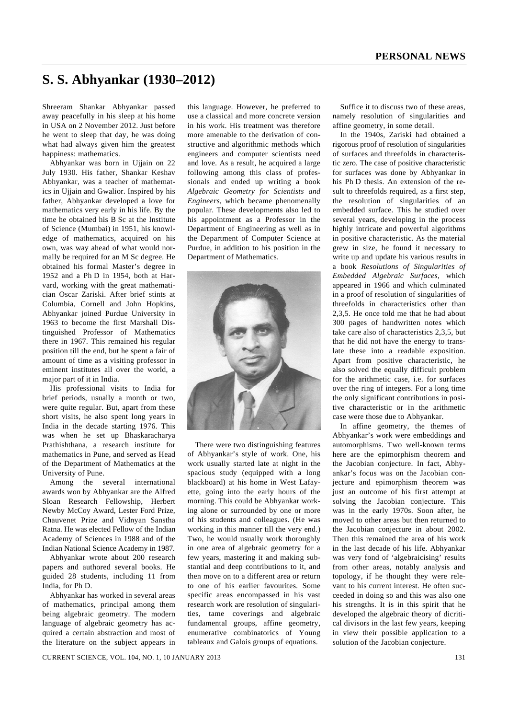# **S. S. Abhyankar (1930–2012)**

Shreeram Shankar Abhyankar passed away peacefully in his sleep at his home in USA on 2 November 2012. Just before he went to sleep that day, he was doing what had always given him the greatest happiness: mathematics.

 Abhyankar was born in Ujjain on 22 July 1930. His father, Shankar Keshav Abhyankar, was a teacher of mathematics in Ujjain and Gwalior. Inspired by his father, Abhyankar developed a love for mathematics very early in his life. By the time he obtained his B Sc at the Institute of Science (Mumbai) in 1951, his knowledge of mathematics, acquired on his own, was way ahead of what would normally be required for an M Sc degree. He obtained his formal Master's degree in 1952 and a Ph D in 1954, both at Harvard, working with the great mathematician Oscar Zariski. After brief stints at Columbia, Cornell and John Hopkins, Abhyankar joined Purdue University in 1963 to become the first Marshall Distinguished Professor of Mathematics there in 1967. This remained his regular position till the end, but he spent a fair of amount of time as a visiting professor in eminent institutes all over the world, a major part of it in India.

 His professional visits to India for brief periods, usually a month or two, were quite regular. But, apart from these short visits, he also spent long years in India in the decade starting 1976. This was when he set up Bhaskaracharya Prathishthana, a research institute for mathematics in Pune, and served as Head of the Department of Mathematics at the University of Pune.

 Among the several international awards won by Abhyankar are the Alfred Sloan Research Fellowship, Herbert Newby McCoy Award, Lester Ford Prize, Chauvenet Prize and Vidnyan Sanstha Ratna. He was elected Fellow of the Indian Academy of Sciences in 1988 and of the Indian National Science Academy in 1987.

 Abhyankar wrote about 200 research papers and authored several books. He guided 28 students, including 11 from India, for Ph D.

 Abhyankar has worked in several areas of mathematics, principal among them being algebraic geometry. The modern language of algebraic geometry has acquired a certain abstraction and most of the literature on the subject appears in this language. However, he preferred to use a classical and more concrete version in his work. His treatment was therefore more amenable to the derivation of constructive and algorithmic methods which engineers and computer scientists need and love. As a result, he acquired a large following among this class of professionals and ended up writing a book *Algebraic Geometry for Scientists and Engineers*, which became phenomenally popular. These developments also led to his appointment as a Professor in the Department of Engineering as well as in the Department of Computer Science at Purdue, in addition to his position in the Department of Mathematics.



 There were two distinguishing features of Abhyankar's style of work. One, his work usually started late at night in the spacious study (equipped with a long blackboard) at his home in West Lafayette, going into the early hours of the morning. This could be Abhyankar working alone or surrounded by one or more of his students and colleagues. (He was working in this manner till the very end.) Two, he would usually work thoroughly in one area of algebraic geometry for a few years, mastering it and making substantial and deep contributions to it, and then move on to a different area or return to one of his earlier favourites. Some specific areas encompassed in his vast research work are resolution of singularities, tame coverings and algebraic fundamental groups, affine geometry, enumerative combinatorics of Young tableaux and Galois groups of equations.

 Suffice it to discuss two of these areas, namely resolution of singularities and affine geometry, in some detail.

 In the 1940s, Zariski had obtained a rigorous proof of resolution of singularities of surfaces and threefolds in characteristic zero. The case of positive characteristic for surfaces was done by Abhyankar in his Ph D thesis. An extension of the result to threefolds required, as a first step, the resolution of singularities of an embedded surface. This he studied over several years, developing in the process highly intricate and powerful algorithms in positive characteristic. As the material grew in size, he found it necessary to write up and update his various results in a book *Resolutions of Singularities of Embedded Algebraic Surfaces*, which appeared in 1966 and which culminated in a proof of resolution of singularities of threefolds in characteristics other than 2,3,5. He once told me that he had about 300 pages of handwritten notes which take care also of characteristics 2,3,5, but that he did not have the energy to translate these into a readable exposition. Apart from positive characteristic, he also solved the equally difficult problem for the arithmetic case, i.e. for surfaces over the ring of integers. For a long time the only significant contributions in positive characteristic or in the arithmetic case were those due to Abhyankar.

 In affine geometry, the themes of Abhyankar's work were embeddings and automorphisms. Two well-known terms here are the epimorphism theorem and the Jacobian conjecture. In fact, Abhyankar's focus was on the Jacobian conjecture and epimorphism theorem was just an outcome of his first attempt at solving the Jacobian conjecture. This was in the early 1970s. Soon after, he moved to other areas but then returned to the Jacobian conjecture in about 2002. Then this remained the area of his work in the last decade of his life. Abhyankar was very fond of 'algebraicising' results from other areas, notably analysis and topology, if he thought they were relevant to his current interest. He often succeeded in doing so and this was also one his strengths. It is in this spirit that he developed the algebraic theory of dicritical divisors in the last few years, keeping in view their possible application to a solution of the Jacobian conjecture.

CURRENT SCIENCE, VOL. 104, NO. 1, 10 JANUARY 2013 131